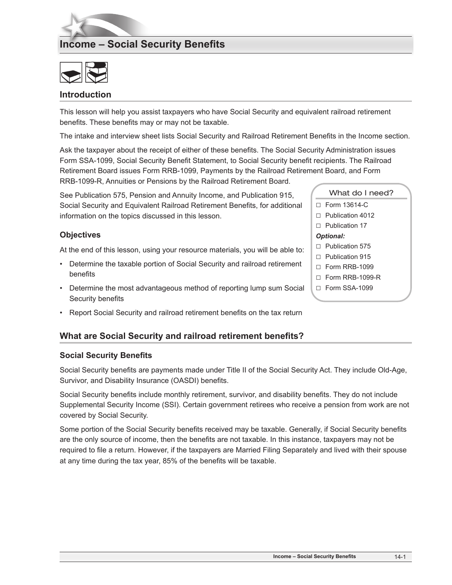# **Income – Social Security Benefits**



#### **Introduction**

This lesson will help you assist taxpayers who have Social Security and equivalent railroad retirement benefits. These benefits may or may not be taxable.

The intake and interview sheet lists Social Security and Railroad Retirement Benefits in the Income section.

Ask the taxpayer about the receipt of either of these benefits. The Social Security Administration issues Form SSA-1099, Social Security Benefit Statement, to Social Security benefit recipients. The Railroad Retirement Board issues Form RRB-1099, Payments by the Railroad Retirement Board, and Form RRB-1099-R, Annuities or Pensions by the Railroad Retirement Board*.*

See Publication 575, Pension and Annuity Income, and Publication 915, Social Security and Equivalent Railroad Retirement Benefits, for additional information on the topics discussed in this lesson.

#### **Objectives**

At the end of this lesson, using your resource materials, you will be able to:

- Determine the taxable portion of Social Security and railroad retirement benefits
- Determine the most advantageous method of reporting lump sum Social Security benefits
- Report Social Security and railroad retirement benefits on the tax return

## **What are Social Security and railroad retirement benefits?**

#### **Social Security Benefits**

Social Security benefits are payments made under Title II of the Social Security Act. They include Old-Age, Survivor, and Disability Insurance (OASDI) benefits.

Social Security benefits include monthly retirement, survivor, and disability benefits. They do not include Supplemental Security Income (SSI). Certain government retirees who receive a pension from work are not covered by Social Security.

Some portion of the Social Security benefits received may be taxable. Generally, if Social Security benefits are the only source of income, then the benefits are not taxable. In this instance, taxpayers may not be required to file a return. However, if the taxpayers are Married Filing Separately and lived with their spouse at any time during the tax year, 85% of the benefits will be taxable.

|                  | What do I need?         |  |  |  |
|------------------|-------------------------|--|--|--|
|                  | □ Form 13614-C          |  |  |  |
|                  | $\Box$ Publication 4012 |  |  |  |
|                  | $\Box$ Publication 17   |  |  |  |
| <b>Optional:</b> |                         |  |  |  |
|                  | $\Box$ Publication 575  |  |  |  |
|                  | $\Box$ Publication 915  |  |  |  |
|                  | $\Box$ Form RRB-1099    |  |  |  |
|                  | $\Box$ Form RRB-1099-R  |  |  |  |
|                  | $\Box$ Form SSA-1099    |  |  |  |
|                  |                         |  |  |  |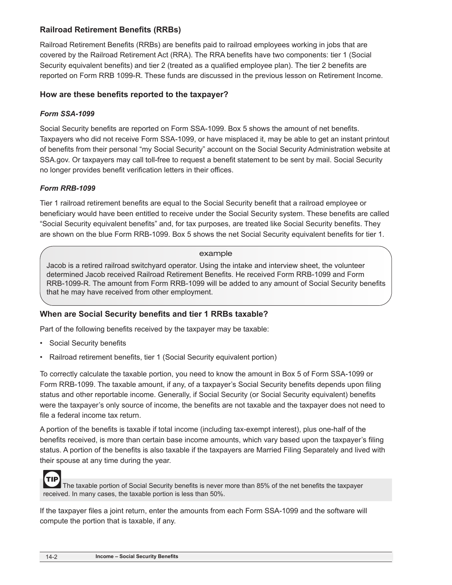# **Railroad Retirement Benefits (RRBs)**

Railroad Retirement Benefits (RRBs) are benefits paid to railroad employees working in jobs that are covered by the Railroad Retirement Act (RRA). The RRA benefits have two components: tier 1 (Social Security equivalent benefits) and tier 2 (treated as a qualified employee plan). The tier 2 benefits are reported on Form RRB 1099-R. These funds are discussed in the previous lesson on Retirement Income.

## **How are these benefits reported to the taxpayer?**

#### *Form SSA-1099*

Social Security benefits are reported on Form SSA-1099. Box 5 shows the amount of net benefits. Taxpayers who did not receive Form SSA-1099, or have misplaced it, may be able to get an instant printout of benefits from their personal "my Social Security" account on the Social Security Administration website at SSA.gov. Or taxpayers may call toll-free to request a benefit statement to be sent by mail. Social Security no longer provides benefit verification letters in their offices.

#### *Form RRB-1099*

Tier 1 railroad retirement benefits are equal to the Social Security benefit that a railroad employee or beneficiary would have been entitled to receive under the Social Security system. These benefits are called "Social Security equivalent benefits" and, for tax purposes, are treated like Social Security benefits. They are shown on the blue Form RRB-1099. Box 5 shows the net Social Security equivalent benefits for tier 1.

#### example

Jacob is a retired railroad switchyard operator. Using the intake and interview sheet, the volunteer determined Jacob received Railroad Retirement Benefits. He received Form RRB-1099 and Form RRB-1099-R. The amount from Form RRB-1099 will be added to any amount of Social Security benefits that he may have received from other employment.

## **When are Social Security benefits and tier 1 RRBs taxable?**

Part of the following benefits received by the taxpayer may be taxable:

- Social Security benefits
- Railroad retirement benefits, tier 1 (Social Security equivalent portion)

To correctly calculate the taxable portion, you need to know the amount in Box 5 of Form SSA-1099 or Form RRB-1099. The taxable amount, if any, of a taxpayer's Social Security benefits depends upon filing status and other reportable income. Generally, if Social Security (or Social Security equivalent) benefits were the taxpayer's only source of income, the benefits are not taxable and the taxpayer does not need to file a federal income tax return.

A portion of the benefits is taxable if total income (including tax-exempt interest), plus one-half of the benefits received, is more than certain base income amounts, which vary based upon the taxpayer's filing status. A portion of the benefits is also taxable if the taxpayers are Married Filing Separately and lived with their spouse at any time during the year.



The taxable portion of Social Security benefits is never more than 85% of the net benefits the taxpayer received. In many cases, the taxable portion is less than 50%.

If the taxpayer files a joint return, enter the amounts from each Form SSA-1099 and the software will compute the portion that is taxable, if any.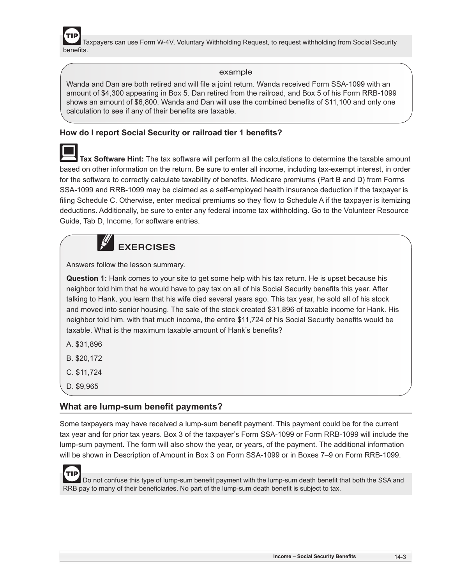Taxpayers can use Form W-4V, Voluntary Withholding Request, to request withholding from Social Security benefits.

#### example

Wanda and Dan are both retired and will file a joint return. Wanda received Form SSA-1099 with an amount of \$4,300 appearing in Box 5. Dan retired from the railroad, and Box 5 of his Form RRB-1099 shows an amount of \$6,800. Wanda and Dan will use the combined benefits of \$11,100 and only one calculation to see if any of their benefits are taxable.

# **How do I report Social Security or railroad tier 1 benefits?**

 **Tax Software Hint:** The tax software will perform all the calculations to determine the taxable amount based on other information on the return. Be sure to enter all income, including tax-exempt interest, in order for the software to correctly calculate taxability of benefits. Medicare premiums (Part B and D) from Forms SSA-1099 and RRB-1099 may be claimed as a self-employed health insurance deduction if the taxpayer is filing Schedule C. Otherwise, enter medical premiums so they flow to Schedule A if the taxpayer is itemizing deductions. Additionally, be sure to enter any federal income tax withholding. Go to the Volunteer Resource Guide, Tab D, Income, for software entries.



Answers follow the lesson summary.

**Question 1:** Hank comes to your site to get some help with his tax return. He is upset because his neighbor told him that he would have to pay tax on all of his Social Security benefits this year. After talking to Hank, you learn that his wife died several years ago. This tax year, he sold all of his stock and moved into senior housing. The sale of the stock created \$31,896 of taxable income for Hank. His neighbor told him, with that much income, the entire \$11,724 of his Social Security benefits would be taxable. What is the maximum taxable amount of Hank's benefits?

- A. \$31,896
- B. \$20,172
- C. \$11,724
- D. \$9,965

## **What are lump-sum benefit payments?**

Some taxpayers may have received a lump-sum benefit payment. This payment could be for the current tax year and for prior tax years. Box 3 of the taxpayer's Form SSA-1099 or Form RRB-1099 will include the lump-sum payment. The form will also show the year, or years, of the payment. The additional information will be shown in Description of Amount in Box 3 on Form SSA-1099 or in Boxes 7–9 on Form RRB-1099.

**TIP**  Do not confuse this type of lump-sum benefit payment with the lump-sum death benefit that both the SSA and RRB pay to many of their beneficiaries. No part of the lump-sum death benefit is subject to tax.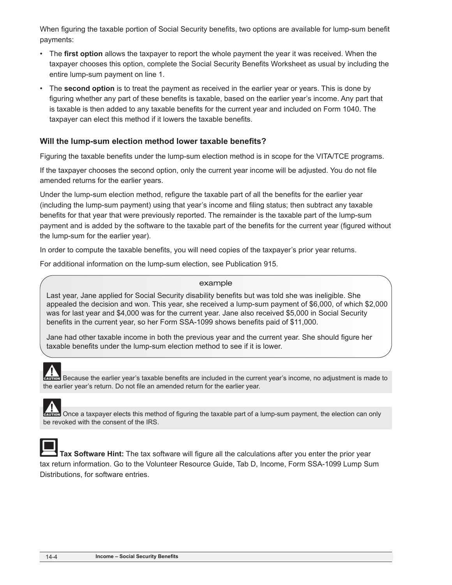When figuring the taxable portion of Social Security benefits, two options are available for lump-sum benefit payments:

- The **first option** allows the taxpayer to report the whole payment the year it was received. When the taxpayer chooses this option, complete the Social Security Benefits Worksheet as usual by including the entire lump-sum payment on line 1.
- The **second option** is to treat the payment as received in the earlier year or years. This is done by figuring whether any part of these benefits is taxable, based on the earlier year's income. Any part that is taxable is then added to any taxable benefits for the current year and included on Form 1040. The taxpayer can elect this method if it lowers the taxable benefits.

#### **Will the lump-sum election method lower taxable benefits?**

Figuring the taxable benefits under the lump-sum election method is in scope for the VITA/TCE programs.

If the taxpayer chooses the second option, only the current year income will be adjusted. You do not file amended returns for the earlier years.

Under the lump-sum election method, refigure the taxable part of all the benefits for the earlier year (including the lump-sum payment) using that year's income and filing status; then subtract any taxable benefits for that year that were previously reported. The remainder is the taxable part of the lump-sum payment and is added by the software to the taxable part of the benefits for the current year (figured without the lump-sum for the earlier year).

In order to compute the taxable benefits, you will need copies of the taxpayer's prior year returns.

For additional information on the lump-sum election, see Publication 915.

#### example

Last year, Jane applied for Social Security disability benefits but was told she was ineligible. She appealed the decision and won. This year, she received a lump-sum payment of \$6,000, of which \$2,000 was for last year and \$4,000 was for the current year. Jane also received \$5,000 in Social Security benefits in the current year, so her Form SSA-1099 shows benefits paid of \$11,000.

Jane had other taxable income in both the previous year and the current year. She should figure her taxable benefits under the lump-sum election method to see if it is lower.

 Because the earlier year's taxable benefits are included in the current year's income, no adjustment is made to the earlier year's return. Do not file an amended return for the earlier year.

Once a taxpayer elects this method of figuring the taxable part of a lump-sum payment, the election can only be revoked with the consent of the IRS.



 **Tax Software Hint:** The tax software will figure all the calculations after you enter the prior year tax return information. Go to the Volunteer Resource Guide, Tab D, Income, Form SSA-1099 Lump Sum Distributions, for software entries.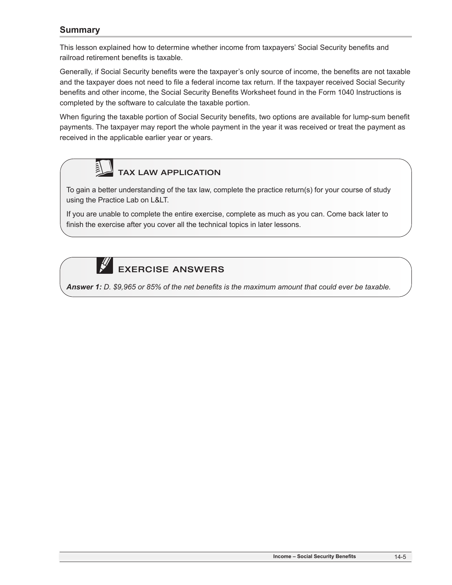# **Summary**

This lesson explained how to determine whether income from taxpayers' Social Security benefits and railroad retirement benefits is taxable.

Generally, if Social Security benefits were the taxpayer's only source of income, the benefits are not taxable and the taxpayer does not need to file a federal income tax return. If the taxpayer received Social Security benefits and other income, the Social Security Benefits Worksheet found in the Form 1040 Instructions is completed by the software to calculate the taxable portion.

When figuring the taxable portion of Social Security benefits, two options are available for lump-sum benefit payments. The taxpayer may report the whole payment in the year it was received or treat the payment as received in the applicable earlier year or years.



TAX LAW APPLICATION

To gain a better understanding of the tax law, complete the practice return(s) for your course of study using the Practice Lab on L&LT.

If you are unable to complete the entire exercise, complete as much as you can. Come back later to finish the exercise after you cover all the technical topics in later lessons.



*Answer 1: D. \$9,965 or 85% of the net benefits is the maximum amount that could ever be taxable.*